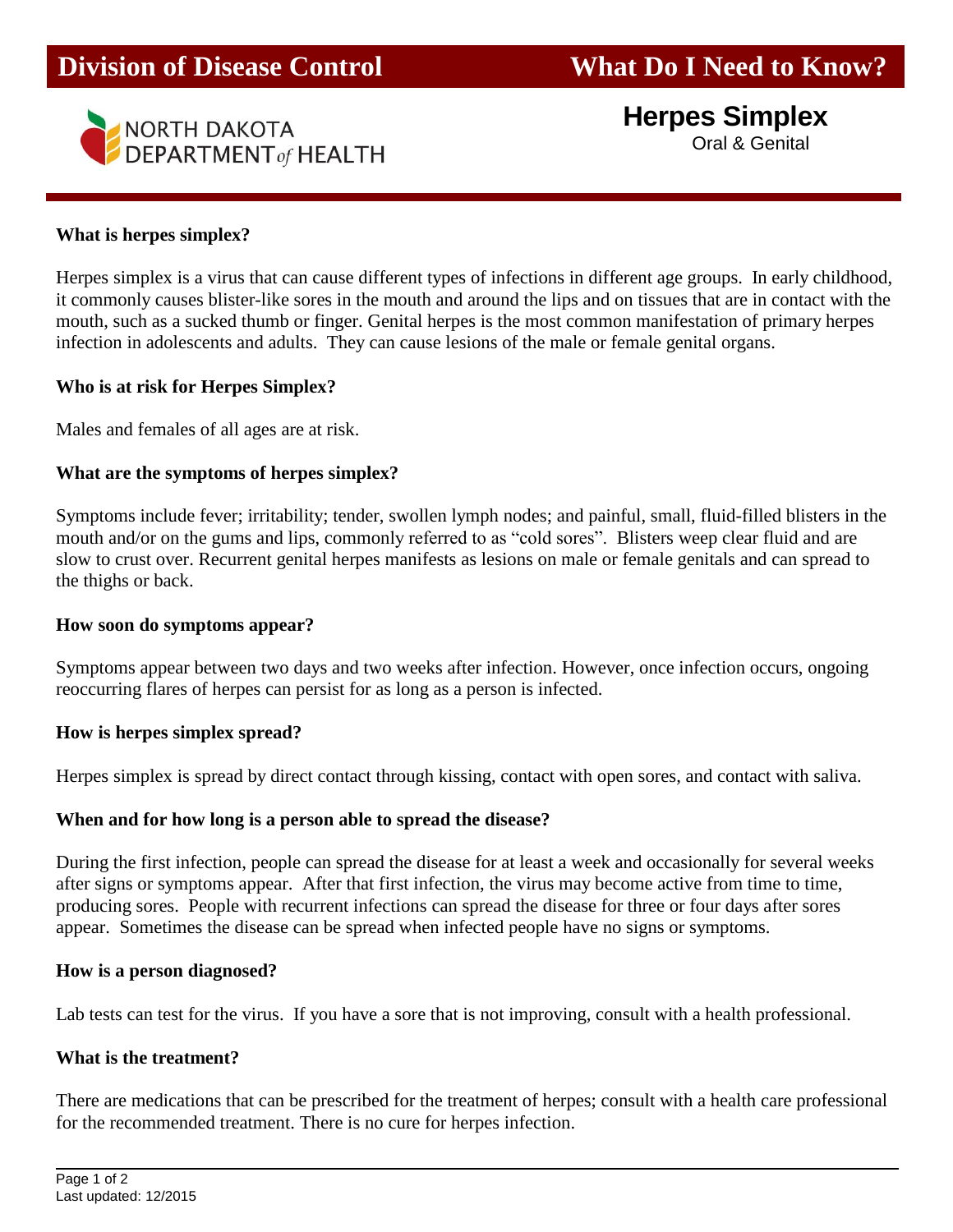

**Herpes Simplex**

Oral & Genital

### **What is herpes simplex?**

Herpes simplex is a virus that can cause different types of infections in different age groups. In early childhood, it commonly causes blister-like sores in the mouth and around the lips and on tissues that are in contact with the mouth, such as a sucked thumb or finger. Genital herpes is the most common manifestation of primary herpes infection in adolescents and adults. They can cause lesions of the male or female genital organs.

#### **Who is at risk for Herpes Simplex?**

Males and females of all ages are at risk.

### **What are the symptoms of herpes simplex?**

Symptoms include fever; irritability; tender, swollen lymph nodes; and painful, small, fluid-filled blisters in the mouth and/or on the gums and lips, commonly referred to as "cold sores". Blisters weep clear fluid and are slow to crust over. Recurrent genital herpes manifests as lesions on male or female genitals and can spread to the thighs or back.

#### **How soon do symptoms appear?**

Symptoms appear between two days and two weeks after infection. However, once infection occurs, ongoing reoccurring flares of herpes can persist for as long as a person is infected.

#### **How is herpes simplex spread?**

Herpes simplex is spread by direct contact through kissing, contact with open sores, and contact with saliva.

#### **When and for how long is a person able to spread the disease?**

During the first infection, people can spread the disease for at least a week and occasionally for several weeks after signs or symptoms appear. After that first infection, the virus may become active from time to time, producing sores. People with recurrent infections can spread the disease for three or four days after sores appear. Sometimes the disease can be spread when infected people have no signs or symptoms.

#### **How is a person diagnosed?**

Lab tests can test for the virus. If you have a sore that is not improving, consult with a health professional.

#### **What is the treatment?**

There are medications that can be prescribed for the treatment of herpes; consult with a health care professional for the recommended treatment. There is no cure for herpes infection.